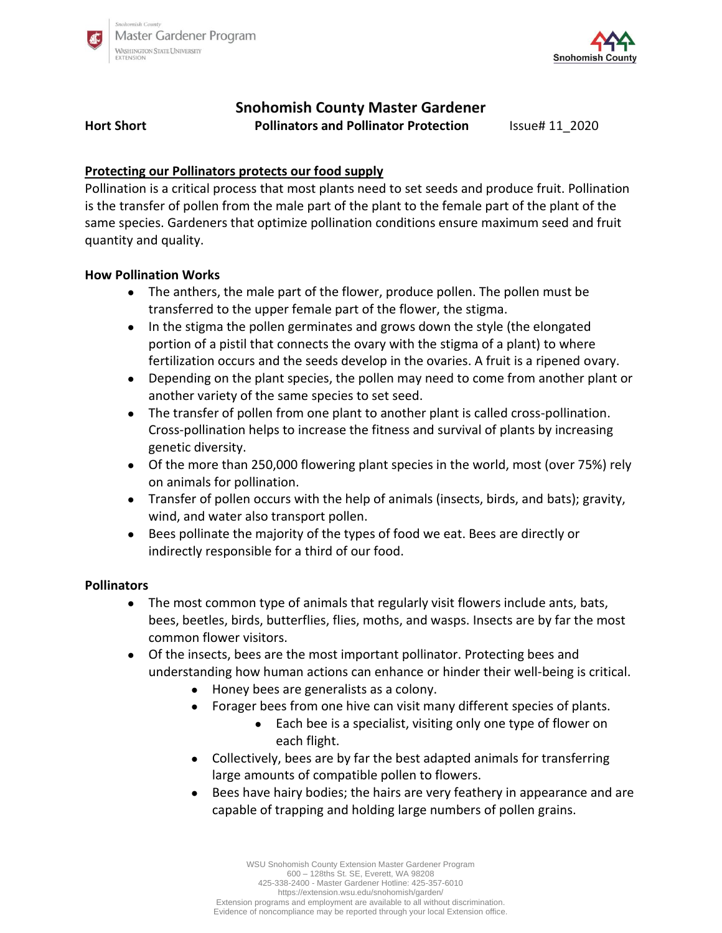



# **Snohomish County Master Gardener**

**Hort Short Pollinators and Pollinator Protection** Issue# 11\_2020

# **Protecting our Pollinators protects our food supply**

Pollination is a critical process that most plants need to set seeds and produce fruit. Pollination is the transfer of pollen from the male part of the plant to the female part of the plant of the same species. Gardeners that optimize pollination conditions ensure maximum seed and fruit quantity and quality.

## **How Pollination Works**

- The anthers, the male part of the flower, produce pollen. The pollen must be transferred to the upper female part of the flower, the stigma.
- In the stigma the pollen germinates and grows down the style (the elongated portion of a pistil that connects the ovary with the stigma of a plant) to where fertilization occurs and the seeds develop in the ovaries. A fruit is a ripened ovary.
- Depending on the plant species, the pollen may need to come from another plant or another variety of the same species to set seed.
- The transfer of pollen from one plant to another plant is called cross-pollination. Cross-pollination helps to increase the fitness and survival of plants by increasing genetic diversity.
- Of the more than 250,000 flowering plant species in the world, most (over 75%) rely on animals for pollination.
- Transfer of pollen occurs with the help of animals (insects, birds, and bats); gravity, wind, and water also transport pollen.
- Bees pollinate the majority of the types of food we eat. Bees are directly or indirectly responsible for a third of our food.

#### **Pollinators**

- The most common type of animals that regularly visit flowers include ants, bats, bees, beetles, birds, butterflies, flies, moths, and wasps. Insects are by far the most common flower visitors.
- Of the insects, bees are the most important pollinator. Protecting bees and understanding how human actions can enhance or hinder their well-being is critical.
	- Honey bees are generalists as a colony.
	- Forager bees from one hive can visit many different species of plants.
		- Each bee is a specialist, visiting only one type of flower on each flight.
	- Collectively, bees are by far the best adapted animals for transferring large amounts of compatible pollen to flowers.
	- Bees have hairy bodies; the hairs are very feathery in appearance and are capable of trapping and holding large numbers of pollen grains.